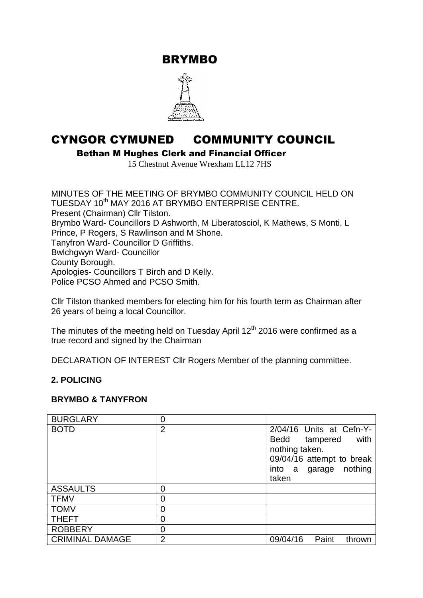BRYMBO



# CYNGOR CYMUNED COMMUNITY COUNCIL

Bethan M Hughes Clerk and Financial Officer

15 Chestnut Avenue Wrexham LL12 7HS

MINUTES OF THE MEETING OF BRYMBO COMMUNITY COUNCIL HELD ON TUESDAY 10<sup>th</sup> MAY 2016 AT BRYMBO ENTERPRISE CENTRE. Present (Chairman) Cllr Tilston. Brymbo Ward- Councillors D Ashworth, M Liberatosciol, K Mathews, S Monti, L Prince, P Rogers, S Rawlinson and M Shone. Tanyfron Ward- Councillor D Griffiths. Bwlchgwyn Ward- Councillor County Borough. Apologies- Councillors T Birch and D Kelly. Police PCSO Ahmed and PCSO Smith.

Cllr Tilston thanked members for electing him for his fourth term as Chairman after 26 years of being a local Councillor.

The minutes of the meeting held on Tuesday April  $12<sup>th</sup>$  2016 were confirmed as a true record and signed by the Chairman

DECLARATION OF INTEREST Cllr Rogers Member of the planning committee.

#### **2. POLICING**

#### **BRYMBO & TANYFRON**

| <b>BURGLARY</b>        | 0              |                                                                                                                                       |
|------------------------|----------------|---------------------------------------------------------------------------------------------------------------------------------------|
| <b>BOTD</b>            | $\overline{2}$ | 2/04/16 Units at Cefn-Y-<br>with<br>Bedd tampered<br>nothing taken.<br>09/04/16 attempt to break<br>nothing<br>into a garage<br>taken |
| <b>ASSAULTS</b>        | 0              |                                                                                                                                       |
| <b>TFMV</b>            | 0              |                                                                                                                                       |
| <b>TOMV</b>            | 0              |                                                                                                                                       |
| <b>THEFT</b>           | 0              |                                                                                                                                       |
| <b>ROBBERY</b>         | 0              |                                                                                                                                       |
| <b>CRIMINAL DAMAGE</b> | $\overline{2}$ | 09/04/16<br>Paint<br>thrown                                                                                                           |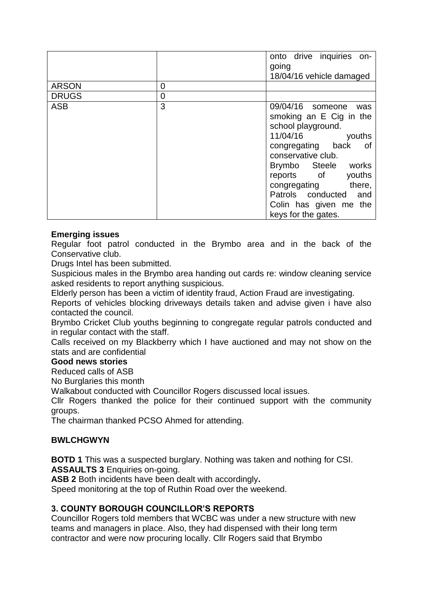|              |                | onto drive inquiries<br>on- |  |
|--------------|----------------|-----------------------------|--|
|              |                | going                       |  |
|              |                | 18/04/16 vehicle damaged    |  |
| <b>ARSON</b> | 0              |                             |  |
| <b>DRUGS</b> | $\overline{0}$ |                             |  |
| <b>ASB</b>   | 3              | 09/04/16 someone<br>was     |  |
|              |                | smoking an E Cig in the     |  |
|              |                | school playground.          |  |
|              |                | 11/04/16<br>youths          |  |
|              |                | congregating back<br>of     |  |
|              |                | conservative club.          |  |
|              |                | Brymbo Steele works         |  |
|              |                | youths<br>reports of        |  |
|              |                | there,<br>congregating      |  |
|              |                | Patrols conducted<br>and    |  |
|              |                | Colin has given me the      |  |
|              |                | keys for the gates.         |  |

#### **Emerging issues**

Regular foot patrol conducted in the Brymbo area and in the back of the Conservative club.

Drugs Intel has been submitted.

Suspicious males in the Brymbo area handing out cards re: window cleaning service asked residents to report anything suspicious.

Elderly person has been a victim of identity fraud, Action Fraud are investigating.

Reports of vehicles blocking driveways details taken and advise given i have also contacted the council.

Brymbo Cricket Club youths beginning to congregate regular patrols conducted and in regular contact with the staff.

Calls received on my Blackberry which I have auctioned and may not show on the stats and are confidential

#### **Good news stories**

Reduced calls of ASB

No Burglaries this month

Walkabout conducted with Councillor Rogers discussed local issues.

Cllr Rogers thanked the police for their continued support with the community groups.

The chairman thanked PCSO Ahmed for attending.

#### **BWLCHGWYN**

**BOTD 1** This was a suspected burglary. Nothing was taken and nothing for CSI. **ASSAULTS 3** Enquiries on-going.

**ASB 2** Both incidents have been dealt with accordingly**.** 

Speed monitoring at the top of Ruthin Road over the weekend.

#### **3. COUNTY BOROUGH COUNCILLOR'S REPORTS**

Councillor Rogers told members that WCBC was under a new structure with new teams and managers in place. Also, they had dispensed with their long term contractor and were now procuring locally. Cllr Rogers said that Brymbo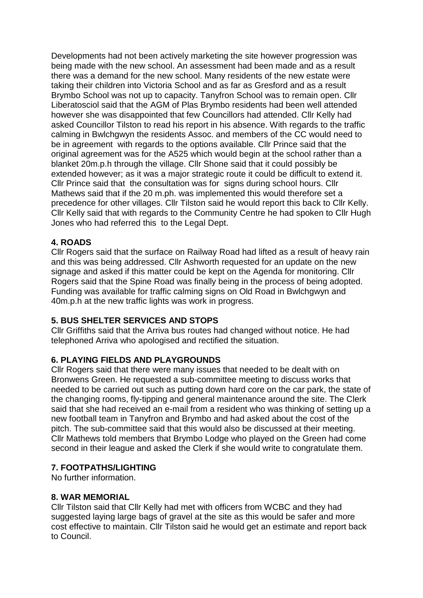Developments had not been actively marketing the site however progression was being made with the new school. An assessment had been made and as a result there was a demand for the new school. Many residents of the new estate were taking their children into Victoria School and as far as Gresford and as a result Brymbo School was not up to capacity. Tanyfron School was to remain open. Cllr Liberatosciol said that the AGM of Plas Brymbo residents had been well attended however she was disappointed that few Councillors had attended. Cllr Kelly had asked Councillor Tilston to read his report in his absence. With regards to the traffic calming in Bwlchgwyn the residents Assoc. and members of the CC would need to be in agreement with regards to the options available. Cllr Prince said that the original agreement was for the A525 which would begin at the school rather than a blanket 20m.p.h through the village. Cllr Shone said that it could possibly be extended however; as it was a major strategic route it could be difficult to extend it. Cllr Prince said that the consultation was for signs during school hours. Cllr Mathews said that if the 20 m.ph. was implemented this would therefore set a precedence for other villages. Cllr Tilston said he would report this back to Cllr Kelly. Cllr Kelly said that with regards to the Community Centre he had spoken to Cllr Hugh Jones who had referred this to the Legal Dept.

#### **4. ROADS**

Cllr Rogers said that the surface on Railway Road had lifted as a result of heavy rain and this was being addressed. Cllr Ashworth requested for an update on the new signage and asked if this matter could be kept on the Agenda for monitoring. Cllr Rogers said that the Spine Road was finally being in the process of being adopted. Funding was available for traffic calming signs on Old Road in Bwlchgwyn and 40m.p.h at the new traffic lights was work in progress.

#### **5. BUS SHELTER SERVICES AND STOPS**

Cllr Griffiths said that the Arriva bus routes had changed without notice. He had telephoned Arriva who apologised and rectified the situation.

#### **6. PLAYING FIELDS AND PLAYGROUNDS**

Cllr Rogers said that there were many issues that needed to be dealt with on Bronwens Green. He requested a sub-committee meeting to discuss works that needed to be carried out such as putting down hard core on the car park, the state of the changing rooms, fly-tipping and general maintenance around the site. The Clerk said that she had received an e-mail from a resident who was thinking of setting up a new football team in Tanyfron and Brymbo and had asked about the cost of the pitch. The sub-committee said that this would also be discussed at their meeting. Cllr Mathews told members that Brymbo Lodge who played on the Green had come second in their league and asked the Clerk if she would write to congratulate them.

#### **7. FOOTPATHS/LIGHTING**

No further information.

#### **8. WAR MEMORIAL**

Cllr Tilston said that Cllr Kelly had met with officers from WCBC and they had suggested laying large bags of gravel at the site as this would be safer and more cost effective to maintain. Cllr Tilston said he would get an estimate and report back to Council.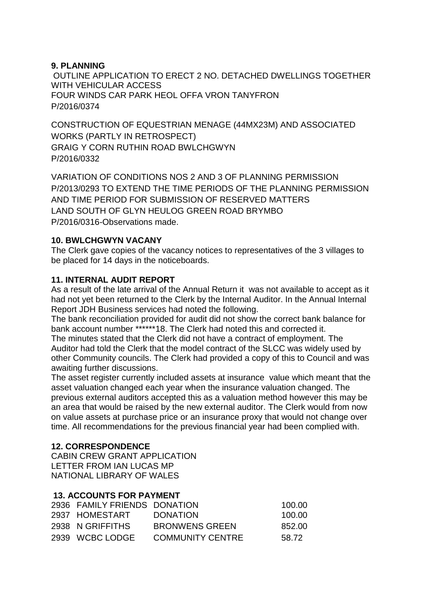### **9. PLANNING**

OUTLINE APPLICATION TO ERECT 2 NO. DETACHED DWELLINGS TOGETHER WITH VEHICULAR ACCESS FOUR WINDS CAR PARK HEOL OFFA VRON TANYFRON P/2016/0374

CONSTRUCTION OF EQUESTRIAN MENAGE (44MX23M) AND ASSOCIATED WORKS (PARTLY IN RETROSPECT) GRAIG Y CORN RUTHIN ROAD BWLCHGWYN P/2016/0332

VARIATION OF CONDITIONS NOS 2 AND 3 OF PLANNING PERMISSION P/2013/0293 TO EXTEND THE TIME PERIODS OF THE PLANNING PERMISSION AND TIME PERIOD FOR SUBMISSION OF RESERVED MATTERS LAND SOUTH OF GLYN HEULOG GREEN ROAD BRYMBO P/2016/0316-Observations made.

### **10. BWLCHGWYN VACANY**

The Clerk gave copies of the vacancy notices to representatives of the 3 villages to be placed for 14 days in the noticeboards.

## **11. INTERNAL AUDIT REPORT**

As a result of the late arrival of the Annual Return it was not available to accept as it had not yet been returned to the Clerk by the Internal Auditor. In the Annual Internal Report JDH Business services had noted the following.

The bank reconciliation provided for audit did not show the correct bank balance for bank account number \*\*\*\*\*\*18. The Clerk had noted this and corrected it.

The minutes stated that the Clerk did not have a contract of employment. The Auditor had told the Clerk that the model contract of the SLCC was widely used by other Community councils. The Clerk had provided a copy of this to Council and was awaiting further discussions.

The asset register currently included assets at insurance value which meant that the asset valuation changed each year when the insurance valuation changed. The previous external auditors accepted this as a valuation method however this may be an area that would be raised by the new external auditor. The Clerk would from now on value assets at purchase price or an insurance proxy that would not change over time. All recommendations for the previous financial year had been complied with.

#### **12. CORRESPONDENCE**

CABIN CREW GRANT APPLICATION LETTER FROM IAN LUCAS MP NATIONAL LIBRARY OF WALES

# **13. ACCOUNTS FOR PAYMENT**

| 2936 FAMILY FRIENDS DONATION |                         | 100.00 |
|------------------------------|-------------------------|--------|
| 2937 HOMESTART               | <b>DONATION</b>         | 100.00 |
| 2938 N GRIFFITHS             | <b>BRONWENS GREEN</b>   | 852.00 |
| 2939 WCBC LODGE              | <b>COMMUNITY CENTRE</b> | 58.72  |